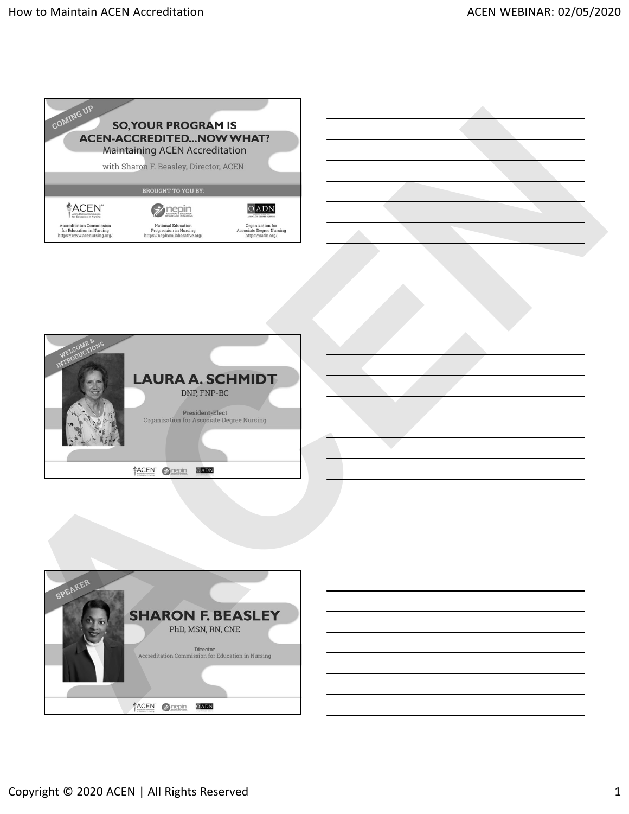





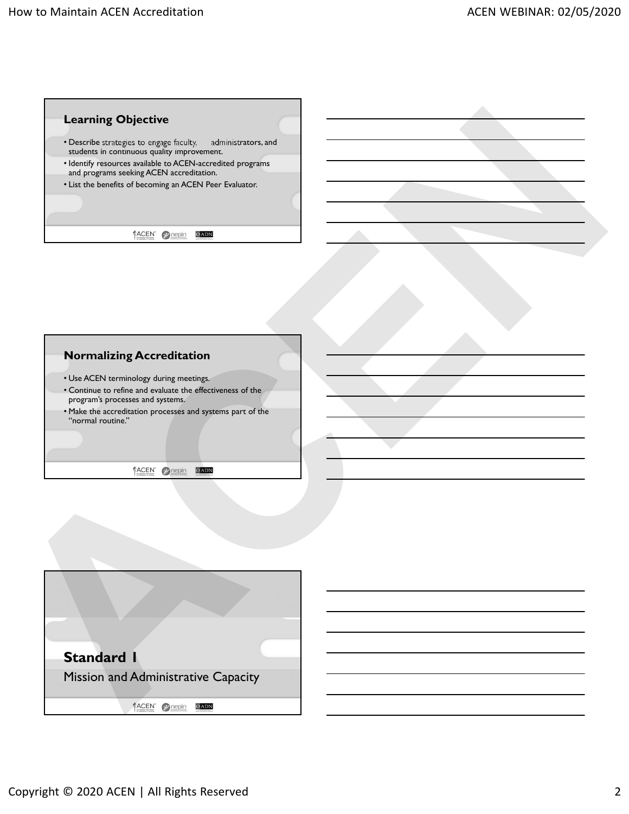

## **Normalizing Accreditation**

- Use ACEN terminology during meetings.
- Continue to refine and evaluate the effectiveness of the program's processes and systems.
- Make the accreditation processes and systems part of the "normal routine."

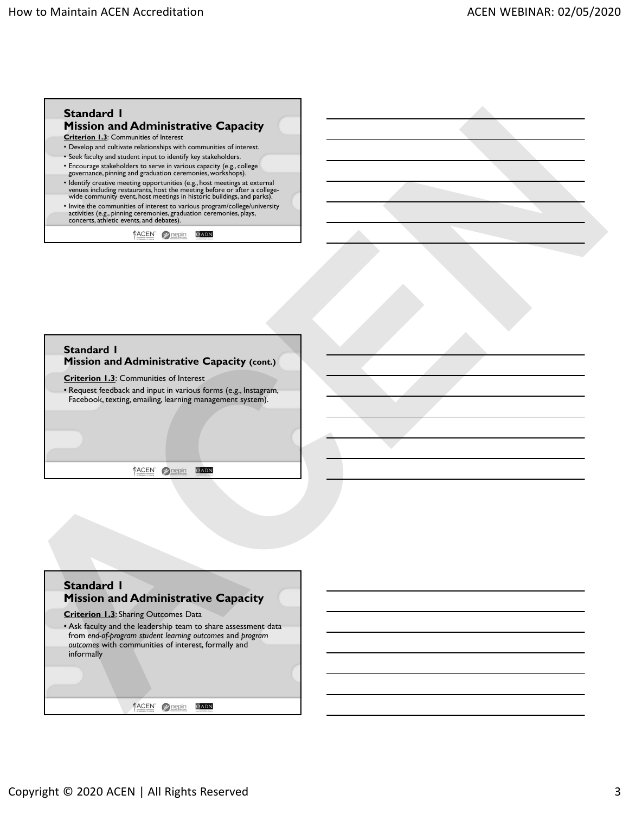

#### **Standard 1 Mission and Administrative Capacity (cont.)**

**Criterion 1.3**: Communities of Interest

• Request feedback and input in various forms (e.g., Instagram, Facebook, texting, emailing, learning management system).

# **Standard 1 Mission and Administrative Capacity Criterion 1.3**: Sharing Outcomes Data • Ask faculty and the leadership team to share assessment data from *end-of-program student learning outcomes* and *program outcomes* with communities of interest, formally and informally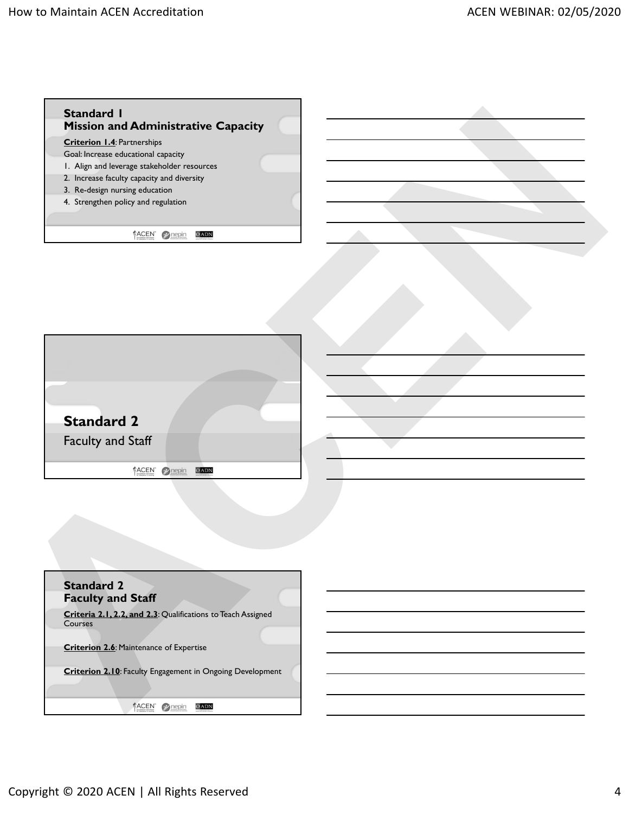



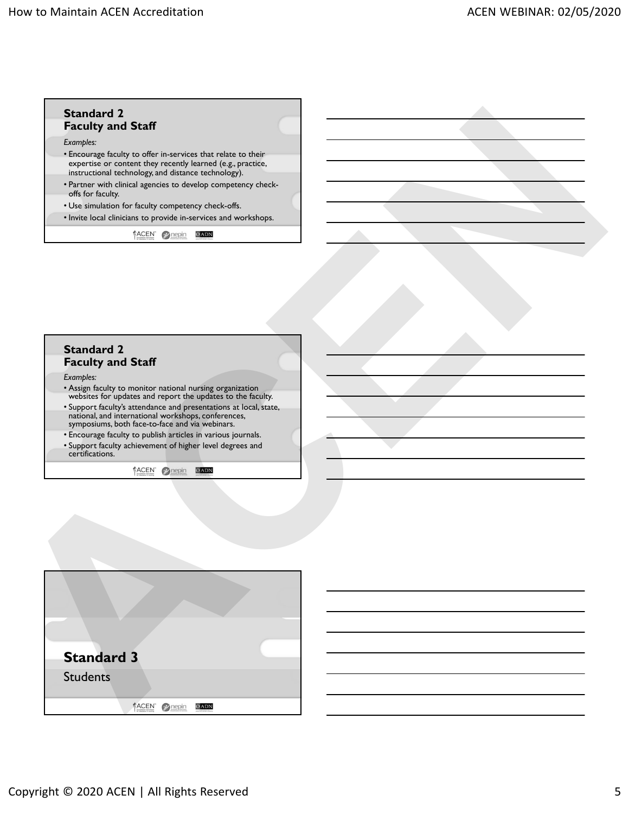

| <b>Standard 2</b><br><b>Faculty and Staff</b>                                                                                                                               |  |
|-----------------------------------------------------------------------------------------------------------------------------------------------------------------------------|--|
| Examples:                                                                                                                                                                   |  |
| • Assign faculty to monitor national nursing organization<br>websites for updates and report the updates to the faculty.                                                    |  |
| • Support faculty's attendance and presentations at local, state,<br>national, and international workshops, conferences,<br>symposiums, both face-to-face and via webinars. |  |
| • Encourage faculty to publish articles in various journals.                                                                                                                |  |
| • Support faculty achievement of higher level degrees and<br>certifications.                                                                                                |  |

| <b>Standard 3</b> |                                          |  |
|-------------------|------------------------------------------|--|
| <b>Students</b>   |                                          |  |
|                   | <b>LACEN</b><br>for Education in Nursing |  |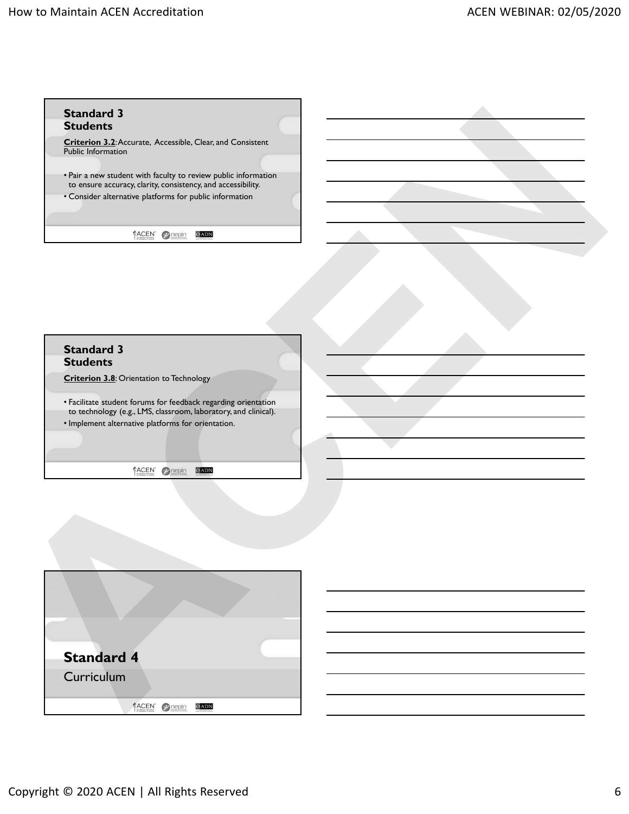

#### **Standard 3 Students**

**Criterion 3.8**: Orientation to Technology

• Facilitate student forums for feedback regarding orientation to technology (e.g., LMS, classroom, laboratory, and clinical). • Implement alternative platforms for orientation.

| <b>Standard 4</b> |  |
|-------------------|--|
| Curriculum        |  |
| ACEN              |  |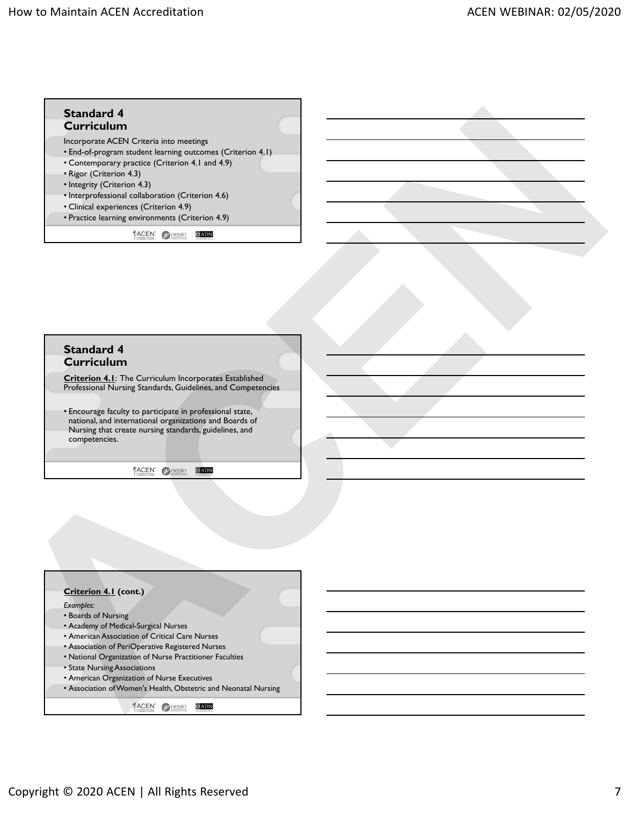

#### **Standard 4 Curriculum**

**Criterion 4.1**: The Curriculum Incorporates Established Professional Nursing Standards, Guidelines, and Competencies

• Encourage faculty to participate in professional state, national, and international organizations and Boards of Nursing that create nursing standards, guidelines, and competencies.

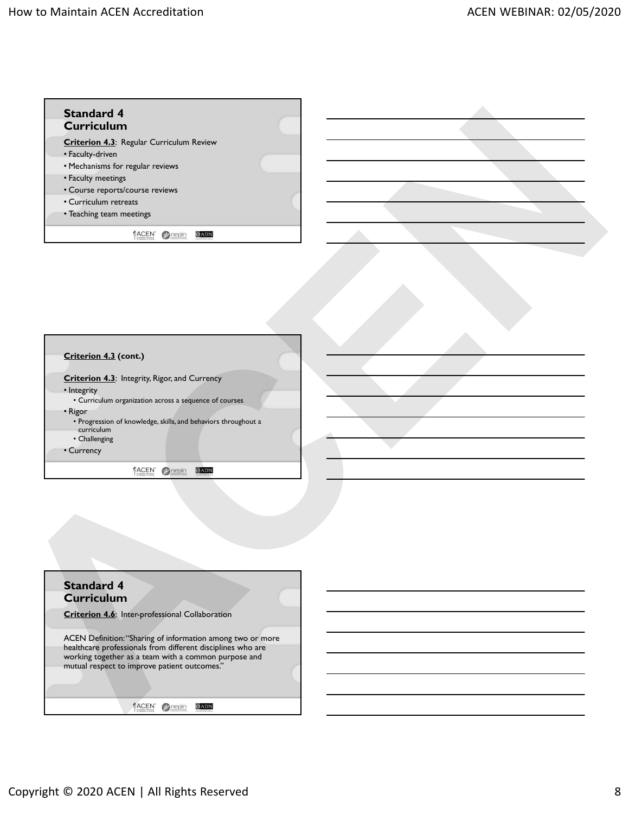



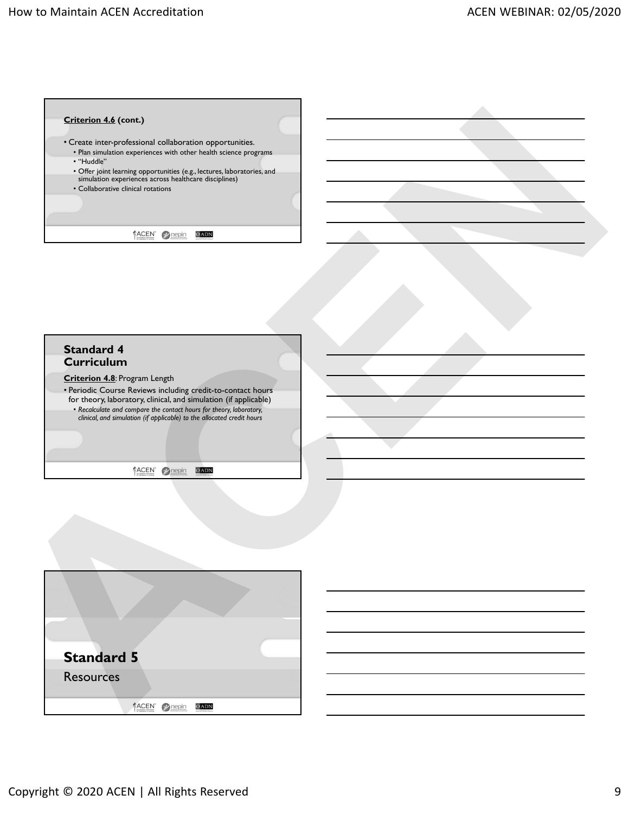

| Criterion 4.6 (cont.)                                                                                                                                                                                                                                                                                                                                    |  |
|----------------------------------------------------------------------------------------------------------------------------------------------------------------------------------------------------------------------------------------------------------------------------------------------------------------------------------------------------------|--|
| • Create inter-professional collaboration opportunities.<br>• Plan simulation experiences with other health science programs<br>• "Huddle"                                                                                                                                                                                                               |  |
| • Offer joint learning opportunities (e.g., lectures, laboratories, and<br>simulation experiences across healthcare disciplines)<br>• Collaborative clinical rotations                                                                                                                                                                                   |  |
|                                                                                                                                                                                                                                                                                                                                                          |  |
| ACEN 2 nepin<br>OADN                                                                                                                                                                                                                                                                                                                                     |  |
| <b>Standard 4</b><br><b>Curriculum</b><br>Criterion 4.8: Program Length<br>• Periodic Course Reviews including credit-to-contact hours<br>for theory, laboratory, clinical, and simulation (if applicable)<br>• Recalculate and compare the contact hours for theory, laboratory, clinical, and simulation (if applicable) to the allocated credit hours |  |
| ACEN 2 nepin<br>OADN                                                                                                                                                                                                                                                                                                                                     |  |
|                                                                                                                                                                                                                                                                                                                                                          |  |
|                                                                                                                                                                                                                                                                                                                                                          |  |
| <b>Standard 5</b>                                                                                                                                                                                                                                                                                                                                        |  |
|                                                                                                                                                                                                                                                                                                                                                          |  |
|                                                                                                                                                                                                                                                                                                                                                          |  |
| <b>Resources</b>                                                                                                                                                                                                                                                                                                                                         |  |

| <b>Standard 5</b> |                                   |  |
|-------------------|-----------------------------------|--|
| <b>Resources</b>  |                                   |  |
|                   | ACENT<br>the Education is because |  |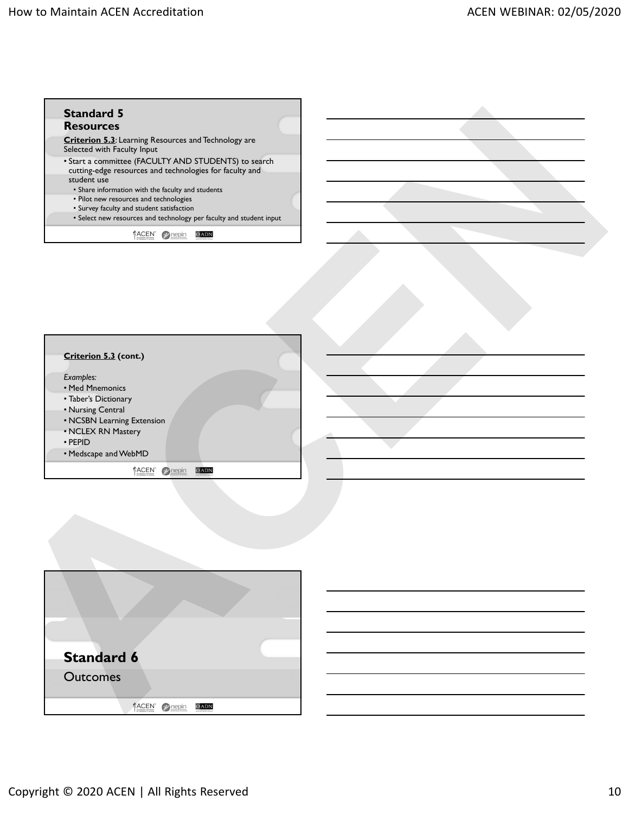

| Criterion 5.3 (cont.)<br>Examples:                                |  |
|-------------------------------------------------------------------|--|
| • Med Mnemonics<br>• Taber's Dictionary<br>• Nursing Central      |  |
| • NCSBN Learning Extension<br>• NCLEX RN Mastery<br>$\cdot$ PEPID |  |
| • Medscape and WebMD                                              |  |

| <b>Standard 6</b> |                                        |  |
|-------------------|----------------------------------------|--|
| <b>Outcomes</b>   |                                        |  |
|                   | <b>ACEN</b><br>the Education is become |  |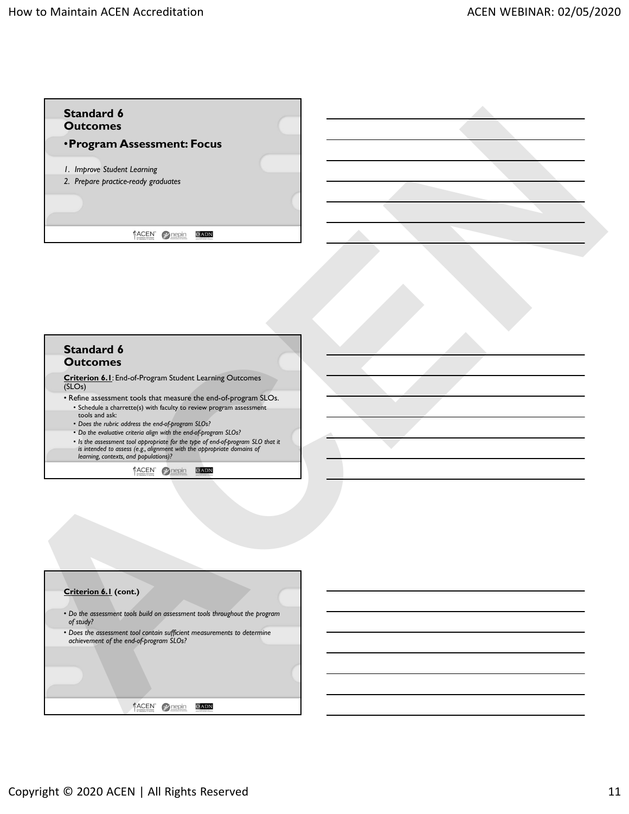



**Criterion 6.1**: End-of-Program Student Learning Outcomes (SLOs)

- Refine assessment tools that measure the end-of-program SLOs. • Schedule a charrette(s) with faculty to review program assessment tools and ask:
	- *Does the rubric address the end-of-program SLOs?*
	- *Do the evaluative criteria align with the end-of-program SLOs?*
	- *Is the assessment tool appropriate for the type of end-of-program SLO that it is intended to assess (e.g., alignment with the appropriate domains of learning, contexts, and populations)?*

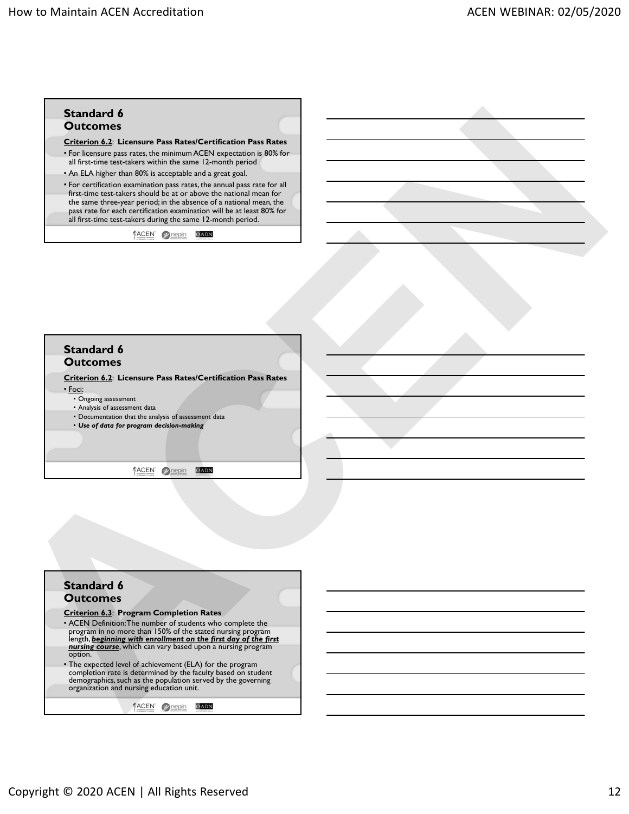

#### **Standard 6 Outcomes**

**Criterion 6.2**: **Licensure Pass Rates/Certification Pass Rates** • Foci:

- Ongoing assessment
- Analysis of assessment data
- Documentation that the analysis of assessment data
- *Use of data for program decision-making*

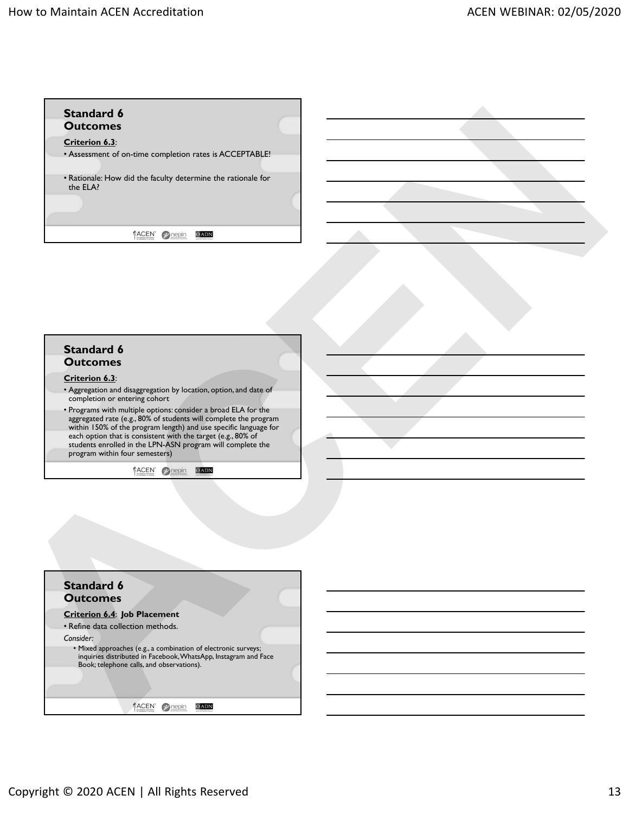

### **Standard 6 Outcomes**

#### **Criterion 6.3**:

- Aggregation and disaggregation by location, option, and date of completion or entering cohort
- Programs with multiple options: consider a broad ELA for the aggregated rate (e.g., 80% of students will complete the program within 150% of the program length) and use specific language for each option that is consistent with the target (e.g., 80% of students enrolled in the LPN-ASN program will complete the program within four semesters)

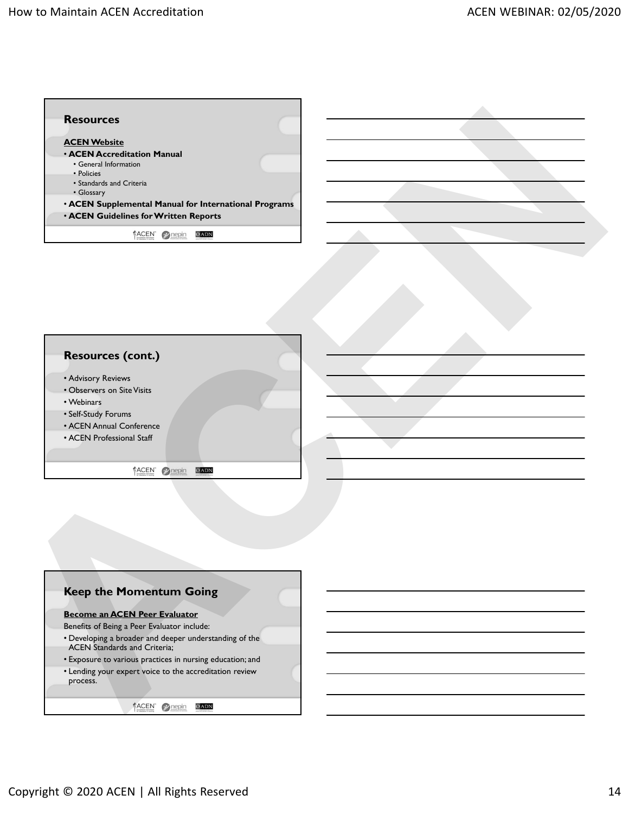



- Advisory Reviews
- Observers on Site Visits
- Webinars
- Self-Study Forums
- ACEN Annual Conference
- ACEN Professional Staff



#### **Become an ACEN Peer Evaluator**

- Benefits of Being a Peer Evaluator include:
- Developing a broader and deeper understanding of the
- ACEN Standards and Criteria;
- Exposure to various practices in nursing education; and
- Lending your expert voice to the accreditation review
- process.